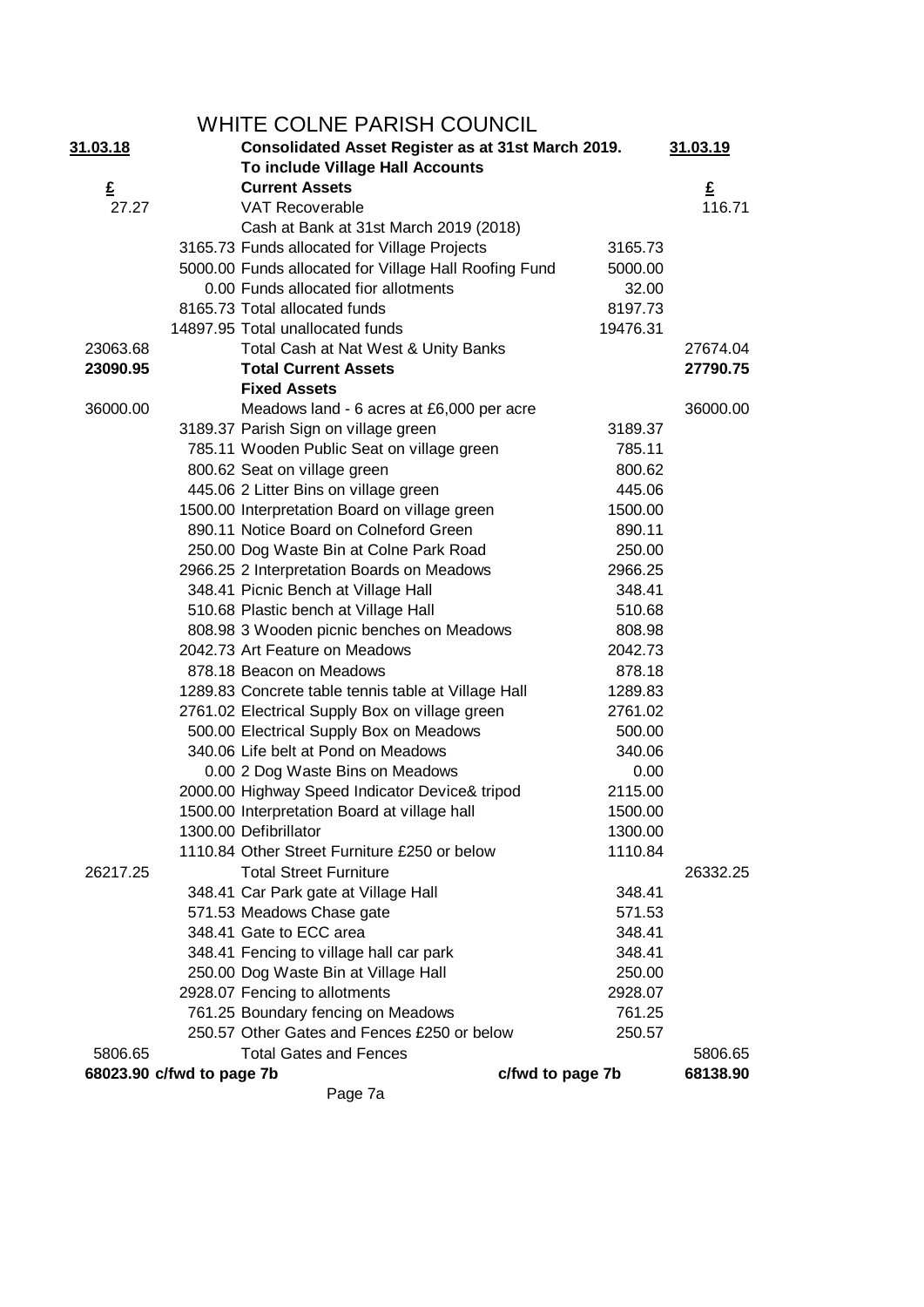|                           |  | WHITE COLNE PARISH COUNCIL                                                             |                  |          |
|---------------------------|--|----------------------------------------------------------------------------------------|------------------|----------|
| <u>31.03.18</u>           |  | 31.03.19                                                                               |                  |          |
|                           |  | Consolidated Asset Register as at 31st March 2019.<br>To include Village Hall Accounts |                  |          |
| £                         |  | <b>Current Assets</b>                                                                  |                  | £        |
| 27.27                     |  | <b>VAT Recoverable</b>                                                                 |                  | 116.71   |
|                           |  | Cash at Bank at 31st March 2019 (2018)                                                 |                  |          |
|                           |  | 3165.73 Funds allocated for Village Projects                                           | 3165.73          |          |
|                           |  | 5000.00 Funds allocated for Village Hall Roofing Fund                                  | 5000.00          |          |
|                           |  | 0.00 Funds allocated fior allotments                                                   | 32.00            |          |
|                           |  | 8165.73 Total allocated funds                                                          | 8197.73          |          |
|                           |  | 14897.95 Total unallocated funds                                                       | 19476.31         |          |
| 23063.68                  |  | Total Cash at Nat West & Unity Banks                                                   |                  | 27674.04 |
| 23090.95                  |  | <b>Total Current Assets</b>                                                            |                  | 27790.75 |
|                           |  | <b>Fixed Assets</b>                                                                    |                  |          |
| 36000.00                  |  | Meadows land - 6 acres at £6,000 per acre                                              |                  | 36000.00 |
|                           |  | 3189.37 Parish Sign on village green                                                   | 3189.37          |          |
|                           |  | 785.11 Wooden Public Seat on village green                                             | 785.11           |          |
|                           |  | 800.62 Seat on village green                                                           | 800.62           |          |
|                           |  | 445.06 2 Litter Bins on village green                                                  | 445.06           |          |
|                           |  | 1500.00 Interpretation Board on village green                                          | 1500.00          |          |
|                           |  | 890.11 Notice Board on Colneford Green                                                 | 890.11           |          |
|                           |  | 250.00 Dog Waste Bin at Colne Park Road                                                | 250.00           |          |
|                           |  | 2966.25 2 Interpretation Boards on Meadows                                             | 2966.25          |          |
|                           |  | 348.41 Picnic Bench at Village Hall                                                    | 348.41           |          |
|                           |  | 510.68 Plastic bench at Village Hall                                                   | 510.68           |          |
|                           |  | 808.98 3 Wooden picnic benches on Meadows                                              | 808.98           |          |
|                           |  | 2042.73 Art Feature on Meadows                                                         | 2042.73          |          |
|                           |  | 878.18 Beacon on Meadows                                                               | 878.18           |          |
|                           |  | 1289.83 Concrete table tennis table at Village Hall                                    | 1289.83          |          |
|                           |  | 2761.02 Electrical Supply Box on village green                                         | 2761.02          |          |
|                           |  | 500.00 Electrical Supply Box on Meadows                                                | 500.00           |          |
|                           |  | 340.06 Life belt at Pond on Meadows                                                    | 340.06           |          |
|                           |  | 0.00 2 Dog Waste Bins on Meadows                                                       | 0.00             |          |
|                           |  | 2000.00 Highway Speed Indicator Device& tripod                                         | 2115.00          |          |
|                           |  | 1500.00 Interpretation Board at village hall                                           | 1500.00          |          |
|                           |  | 1300.00 Defibrillator                                                                  | 1300.00          |          |
|                           |  | 1110.84 Other Street Furniture £250 or below                                           | 1110.84          |          |
| 26217.25                  |  | <b>Total Street Furniture</b>                                                          |                  | 26332.25 |
|                           |  | 348.41 Car Park gate at Village Hall                                                   | 348.41           |          |
|                           |  | 571.53 Meadows Chase gate                                                              | 571.53           |          |
|                           |  | 348.41 Gate to ECC area                                                                | 348.41           |          |
|                           |  | 348.41 Fencing to village hall car park                                                | 348.41           |          |
|                           |  | 250.00 Dog Waste Bin at Village Hall                                                   | 250.00           |          |
|                           |  | 2928.07 Fencing to allotments                                                          | 2928.07          |          |
|                           |  | 761.25 Boundary fencing on Meadows                                                     | 761.25           |          |
|                           |  | 250.57 Other Gates and Fences £250 or below                                            | 250.57           |          |
| 5806.65                   |  | <b>Total Gates and Fences</b>                                                          |                  | 5806.65  |
| 68023.90 c/fwd to page 7b |  |                                                                                        | c/fwd to page 7b | 68138.90 |
|                           |  | Page 7a                                                                                |                  |          |